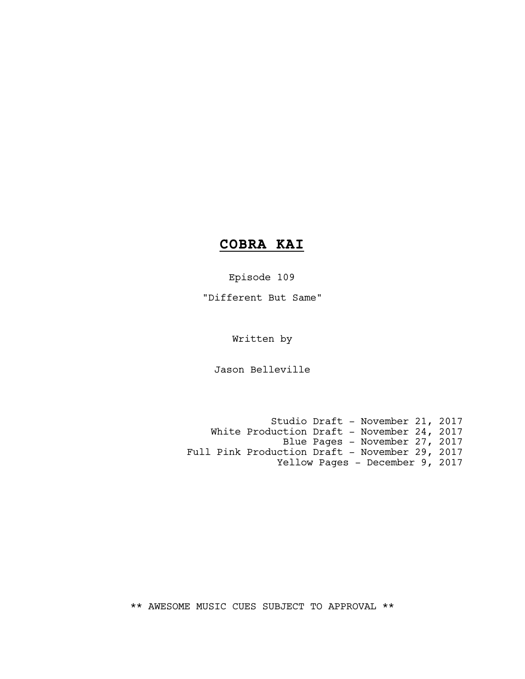# **COBRA KAI**

Episode 109

"Different But Same"

Written by

Jason Belleville

Studio Draft - November 21, 2017 White Production Draft - November 24, 2017 Blue Pages - November 27, 2017 Full Pink Production Draft - November 29, 2017 Yellow Pages - December 9, 2017

\*\* AWESOME MUSIC CUES SUBJECT TO APPROVAL \*\*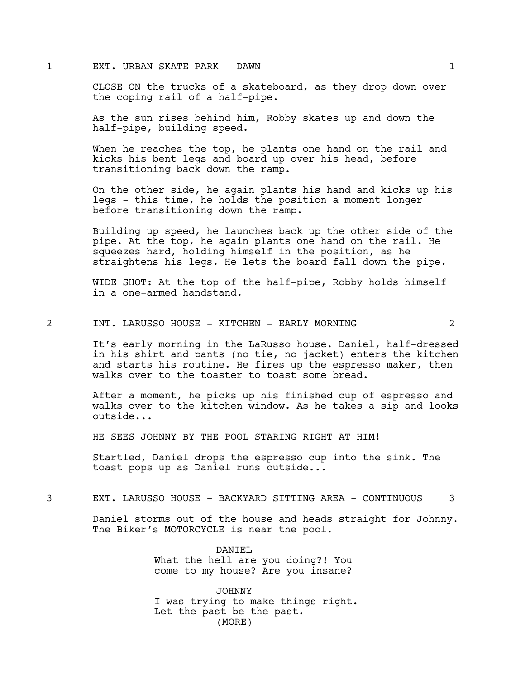#### 1 EXT. URBAN SKATE PARK - DAWN 1

CLOSE ON the trucks of a skateboard, as they drop down over the coping rail of a half-pipe.

As the sun rises behind him, Robby skates up and down the half-pipe, building speed.

When he reaches the top, he plants one hand on the rail and kicks his bent legs and board up over his head, before transitioning back down the ramp.

On the other side, he again plants his hand and kicks up his legs - this time, he holds the position a moment longer before transitioning down the ramp.

Building up speed, he launches back up the other side of the pipe. At the top, he again plants one hand on the rail. He squeezes hard, holding himself in the position, as he straightens his legs. He lets the board fall down the pipe.

WIDE SHOT: At the top of the half-pipe, Robby holds himself in a one-armed handstand.

#### 2 INT. LARUSSO HOUSE - KITCHEN - EARLY MORNING 2

It's early morning in the LaRusso house. Daniel, half-dressed in his shirt and pants (no tie, no jacket) enters the kitchen and starts his routine. He fires up the espresso maker, then walks over to the toaster to toast some bread.

After a moment, he picks up his finished cup of espresso and walks over to the kitchen window. As he takes a sip and looks outside...

HE SEES JOHNNY BY THE POOL STARING RIGHT AT HIM!

Startled, Daniel drops the espresso cup into the sink. The toast pops up as Daniel runs outside...

3 EXT. LARUSSO HOUSE - BACKYARD SITTING AREA - CONTINUOUS 3

Daniel storms out of the house and heads straight for Johnny. The Biker's MOTORCYCLE is near the pool.

> DANIEL What the hell are you doing?! You come to my house? Are you insane?

JOHNNY I was trying to make things right. Let the past be the past. (MORE)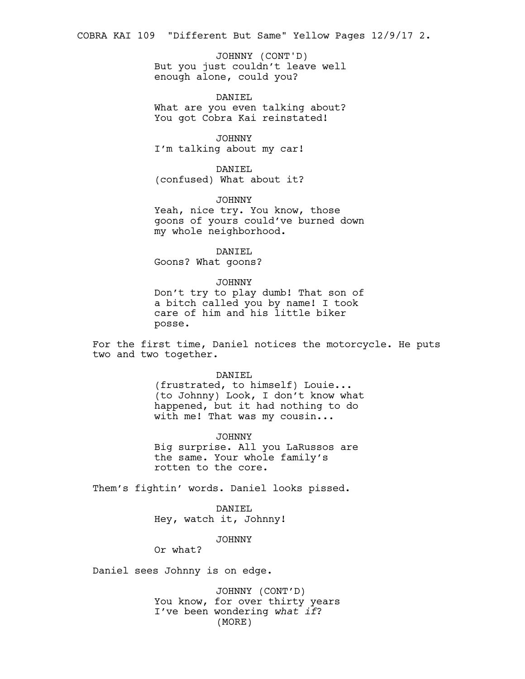COBRA KAI 109 "Different But Same" Yellow Pages 12/9/17 2.

But you just couldn't leave well enough alone, could you? JOHNNY (CONT'D)

DANIEL What are you even talking about? You got Cobra Kai reinstated!

JOHNNY I'm talking about my car!

DANIEL (confused) What about it?

JOHNNY Yeah, nice try. You know, those goons of yours could've burned down my whole neighborhood.

DANIEL Goons? What goons?

JOHNNY

Don't try to play dumb! That son of a bitch called you by name! I took care of him and his little biker posse.

For the first time, Daniel notices the motorcycle. He puts two and two together.

DANIEL

(frustrated, to himself) Louie... (to Johnny) Look, I don't know what happened, but it had nothing to do with me! That was my cousin...

JOHNNY Big surprise. All you LaRussos are the same. Your whole family's rotten to the core.

Them's fightin' words. Daniel looks pissed.

DANIEL Hey, watch it, Johnny!

JOHNNY

Or what?

Daniel sees Johnny is on edge.

JOHNNY (CONT'D) You know, for over thirty years I've been wondering *what if*? (MORE)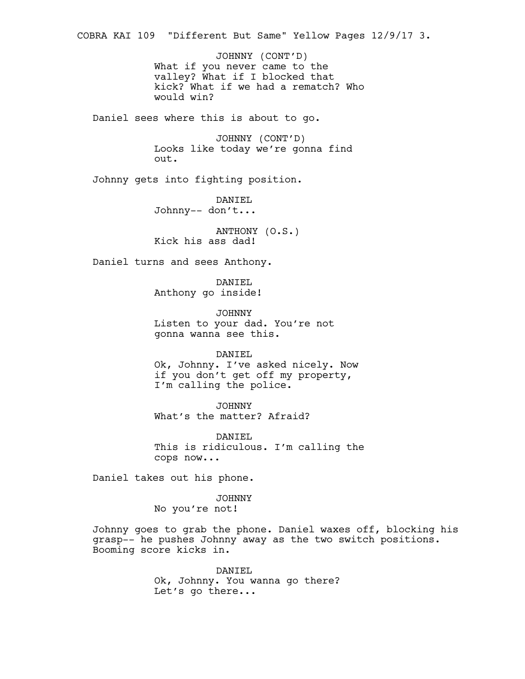What if you never came to the valley? What if I blocked that kick? What if we had a rematch? Who would win? Daniel sees where this is about to go. JOHNNY (CONT'D) Looks like today we're gonna find out. Johnny gets into fighting position. DANIEL Johnny-- don't... ANTHONY (O.S.) Kick his ass dad! Daniel turns and sees Anthony. DANIEL Anthony go inside! JOHNNY Listen to your dad. You're not gonna wanna see this. DANIEL Ok, Johnny. I've asked nicely. Now if you don't get off my property, I'm calling the police. JOHNNY What's the matter? Afraid? DANIEL This is ridiculous. I'm calling the cops now... Daniel takes out his phone. JOHNNY No you're not! Johnny goes to grab the phone. Daniel waxes off, blocking his grasp-- he pushes Johnny away as the two switch positions. Booming score kicks in. DANIEL Ok, Johnny. You wanna go there? JOHNNY (CONT'D) COBRA KAI 109 "Different But Same" Yellow Pages 12/9/17 3.

Let's go there...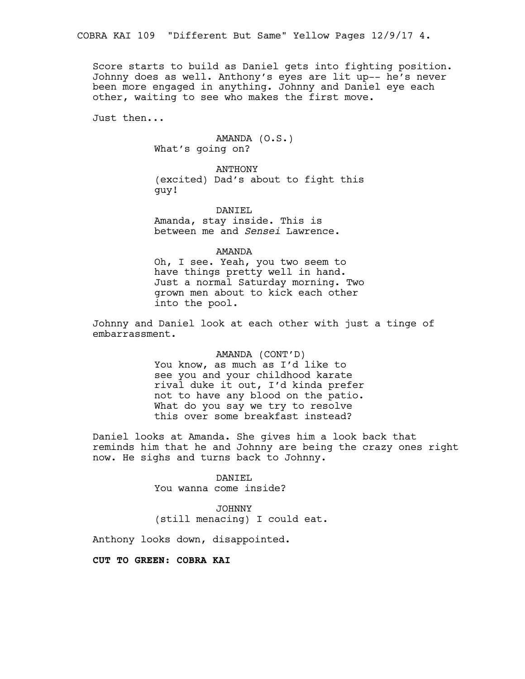Score starts to build as Daniel gets into fighting position. Johnny does as well. Anthony's eyes are lit up-- he's never been more engaged in anything. Johnny and Daniel eye each other, waiting to see who makes the first move.

Just then...

AMANDA (O.S.) What's going on?

ANTHONY (excited) Dad's about to fight this guy!

DANIEL Amanda, stay inside. This is between me and *Sensei* Lawrence.

AMANDA

Oh, I see. Yeah, you two seem to have things pretty well in hand. Just a normal Saturday morning. Two grown men about to kick each other into the pool.

Johnny and Daniel look at each other with just a tinge of embarrassment.

## AMANDA (CONT'D)

You know, as much as I'd like to see you and your childhood karate rival duke it out, I'd kinda prefer not to have any blood on the patio. What do you say we try to resolve this over some breakfast instead?

Daniel looks at Amanda. She gives him a look back that reminds him that he and Johnny are being the crazy ones right now. He sighs and turns back to Johnny.

> DANIEL You wanna come inside?

JOHNNY (still menacing) I could eat.

Anthony looks down, disappointed.

## **CUT TO GREEN: COBRA KAI**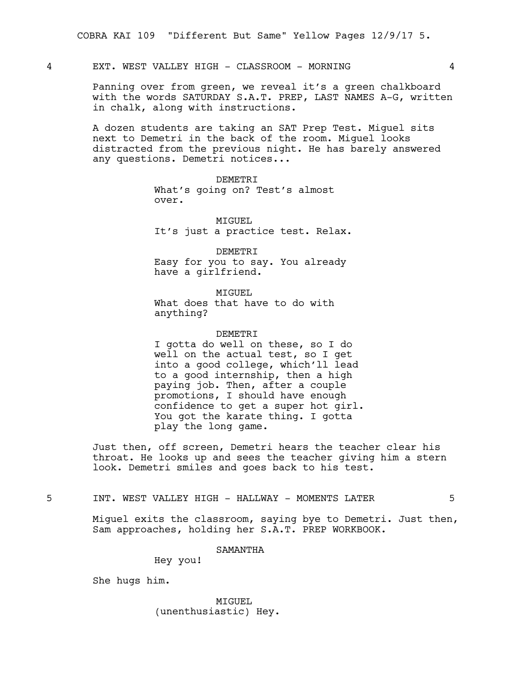## 4 EXT. WEST VALLEY HIGH - CLASSROOM - MORNING 4

Panning over from green, we reveal it's a green chalkboard with the words SATURDAY S.A.T. PREP, LAST NAMES A-G, written in chalk, along with instructions.

A dozen students are taking an SAT Prep Test. Miguel sits next to Demetri in the back of the room. Miguel looks distracted from the previous night. He has barely answered any questions. Demetri notices...

> DEMETRI What's going on? Test's almost over.

MIGUEL It's just a practice test. Relax.

DEMETRI Easy for you to say. You already have a girlfriend.

MTGUEL. What does that have to do with anything?

## DEMETRI I gotta do well on these, so I do well on the actual test, so I get into a good college, which'll lead to a good internship, then a high paying job. Then, after a couple

promotions, I should have enough confidence to get a super hot girl. You got the karate thing. I gotta play the long game.

Just then, off screen, Demetri hears the teacher clear his throat. He looks up and sees the teacher giving him a stern look. Demetri smiles and goes back to his test.

5 INT. WEST VALLEY HIGH - HALLWAY - MOMENTS LATER 5

Miguel exits the classroom, saying bye to Demetri. Just then, Sam approaches, holding her S.A.T. PREP WORKBOOK.

SAMANTHA

Hey you!

She hugs him.

MIGUEL (unenthusiastic) Hey.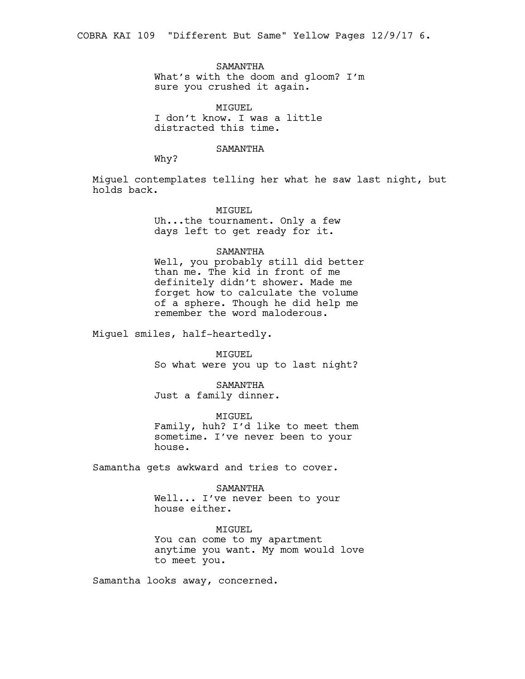SAMANTHA What's with the doom and gloom? I'm sure you crushed it again.

MIGUEL I don't know. I was a little distracted this time.

#### SAMANTHA

Why?

Miguel contemplates telling her what he saw last night, but holds back.

MIGUEL

Uh...the tournament. Only a few days left to get ready for it.

#### SAMANTHA

Well, you probably still did better than me. The kid in front of me definitely didn't shower. Made me forget how to calculate the volume of a sphere. Though he did help me remember the word maloderous.

Miguel smiles, half-heartedly.

MIGUEL So what were you up to last night?

SAMANTHA Just a family dinner.

MIGUEL Family, huh? I'd like to meet them sometime. I've never been to your house.

Samantha gets awkward and tries to cover.

#### SAMANTHA

Well... I've never been to your house either.

MIGUEL You can come to my apartment anytime you want. My mom would love to meet you.

Samantha looks away, concerned.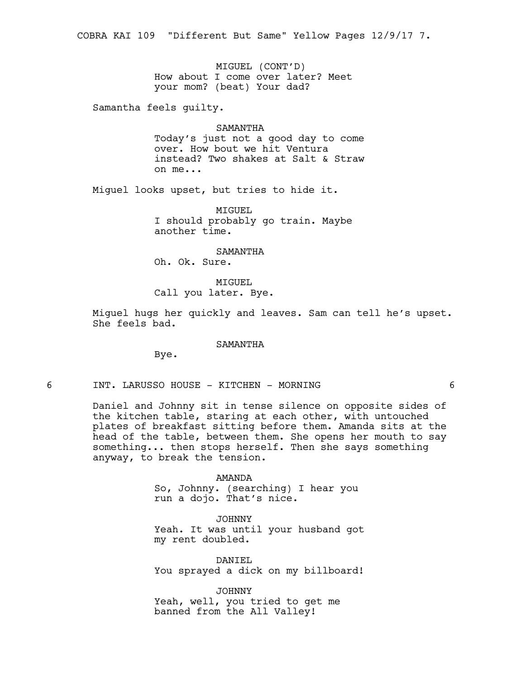MIGUEL (CONT'D) How about I come over later? Meet your mom? (beat) Your dad?

Samantha feels guilty.

SAMANTHA Today's just not a good day to come over. How bout we hit Ventura instead? Two shakes at Salt & Straw on me...

Miguel looks upset, but tries to hide it.

MIGUEL I should probably go train. Maybe another time.

SAMANTHA

Oh. Ok. Sure.

MIGUEL Call you later. Bye.

Miguel hugs her quickly and leaves. Sam can tell he's upset. She feels bad.

#### SAMANTHA

Bye.

6 INT. LARUSSO HOUSE - KITCHEN - MORNING 6

Daniel and Johnny sit in tense silence on opposite sides of the kitchen table, staring at each other, with untouched plates of breakfast sitting before them. Amanda sits at the head of the table, between them. She opens her mouth to say something... then stops herself. Then she says something anyway, to break the tension.

> AMANDA So, Johnny. (searching) I hear you run a dojo. That's nice.

JOHNNY Yeah. It was until your husband got my rent doubled.

DANIEL You sprayed a dick on my billboard!

JOHNNY Yeah, well, you tried to get me banned from the All Valley!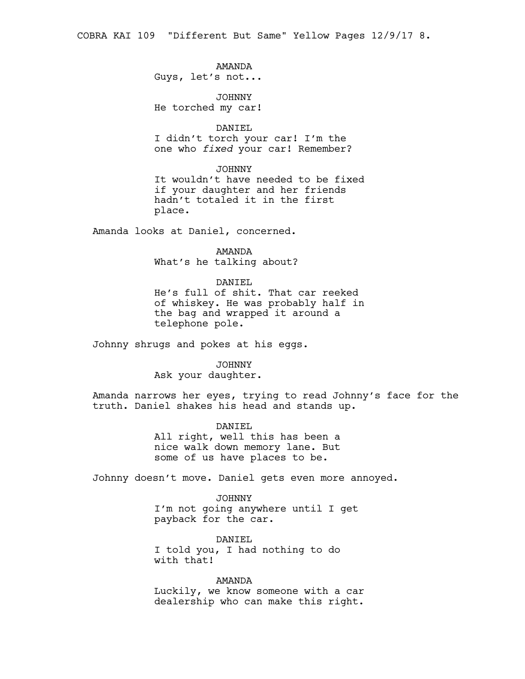COBRA KAI 109 "Different But Same" Yellow Pages 12/9/17 8.

## AMANDA

Guys, let's not...

JOHNNY He torched my car!

#### DANIEL

I didn't torch your car! I'm the one who *fixed* your car! Remember?

#### JOHNNY

It wouldn't have needed to be fixed if your daughter and her friends hadn't totaled it in the first place.

Amanda looks at Daniel, concerned.

## AMANDA

What's he talking about?

#### DANIEL

He's full of shit. That car reeked of whiskey. He was probably half in the bag and wrapped it around a telephone pole.

Johnny shrugs and pokes at his eggs.

## JOHNNY

Ask your daughter.

Amanda narrows her eyes, trying to read Johnny's face for the truth. Daniel shakes his head and stands up.

## DANIEL All right, well this has been a nice walk down memory lane. But some of us have places to be.

Johnny doesn't move. Daniel gets even more annoyed.

JOHNNY I'm not going anywhere until I get payback for the car.

DANIEL I told you, I had nothing to do with that!

AMANDA Luckily, we know someone with a car dealership who can make this right.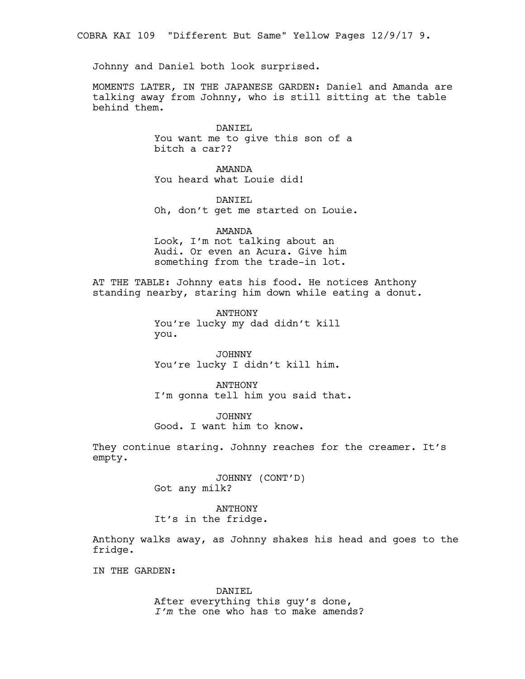COBRA KAI 109 "Different But Same" Yellow Pages 12/9/17 9.

Johnny and Daniel both look surprised.

MOMENTS LATER, IN THE JAPANESE GARDEN: Daniel and Amanda are talking away from Johnny, who is still sitting at the table behind them.

> DANIEL You want me to give this son of a bitch a car??

AMANDA You heard what Louie did!

DANIEL Oh, don't get me started on Louie.

AMANDA Look, I'm not talking about an Audi. Or even an Acura. Give him something from the trade-in lot.

AT THE TABLE: Johnny eats his food. He notices Anthony standing nearby, staring him down while eating a donut.

> ANTHONY You're lucky my dad didn't kill you.

> JOHNNY You're lucky I didn't kill him.

ANTHONY I'm gonna tell him you said that.

JOHNNY Good. I want him to know.

They continue staring. Johnny reaches for the creamer. It's empty.

> JOHNNY (CONT'D) Got any milk?

ANTHONY It's in the fridge.

Anthony walks away, as Johnny shakes his head and goes to the fridge.

IN THE GARDEN:

DANIEL After everything this guy's done, *I'm* the one who has to make amends?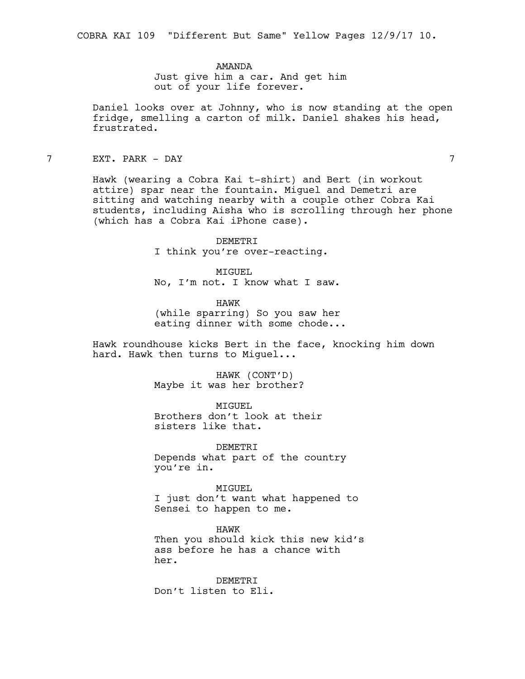AMANDA

Just give him a car. And get him out of your life forever.

Daniel looks over at Johnny, who is now standing at the open fridge, smelling a carton of milk. Daniel shakes his head, frustrated.

7 EXT. PARK - DAY 7

Hawk (wearing a Cobra Kai t-shirt) and Bert (in workout attire) spar near the fountain. Miguel and Demetri are sitting and watching nearby with a couple other Cobra Kai students, including Aisha who is scrolling through her phone (which has a Cobra Kai iPhone case).

> DEMETRI I think you're over-reacting.

MTGUEL No, I'm not. I know what I saw.

HAWK (while sparring) So you saw her eating dinner with some chode...

Hawk roundhouse kicks Bert in the face, knocking him down hard. Hawk then turns to Miguel...

> HAWK (CONT'D) Maybe it was her brother?

MIGUEL Brothers don't look at their sisters like that.

DEMETRI Depends what part of the country you're in.

MIGUEL I just don't want what happened to Sensei to happen to me.

HAWK Then you should kick this new kid's ass before he has a chance with her.

DEMETRI Don't listen to Eli.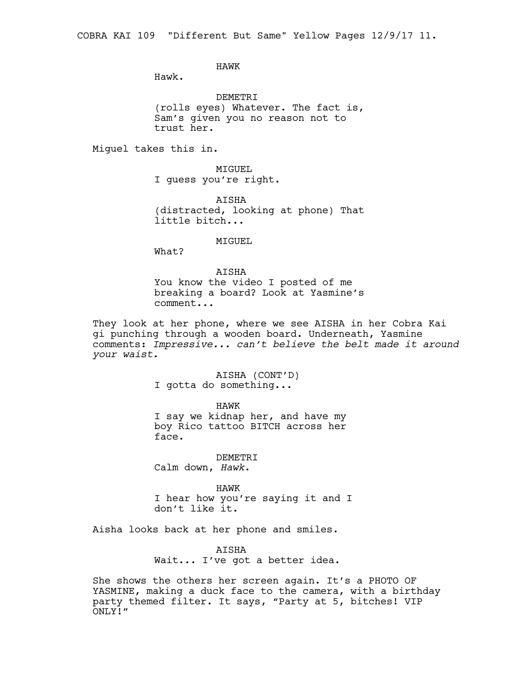HAWK

Hawk.

DEMETRI (rolls eyes) Whatever. The fact is, Sam's given you no reason not to trust her.

Miguel takes this in.

MIGUEL I guess you're right.

AISHA (distracted, looking at phone) That little bitch...

MIGUEL

What?

AISHA You know the video I posted of me breaking a board? Look at Yasmine's comment...

They look at her phone, where we see AISHA in her Cobra Kai gi punching through a wooden board. Underneath, Yasmine comments: *Impressive... can't believe the belt made it around your waist.*

> AISHA (CONT'D) I gotta do something...

HAWK I say we kidnap her, and have my boy Rico tattoo BITCH across her face.

DEMETRI Calm down, *Hawk*.

HAWK I hear how you're saying it and I don't like it.

Aisha looks back at her phone and smiles.

AISHA Wait... I've got a better idea.

She shows the others her screen again. It's a PHOTO OF YASMINE, making a duck face to the camera, with a birthday party themed filter. It says, "Party at 5, bitches! VIP ONLY!"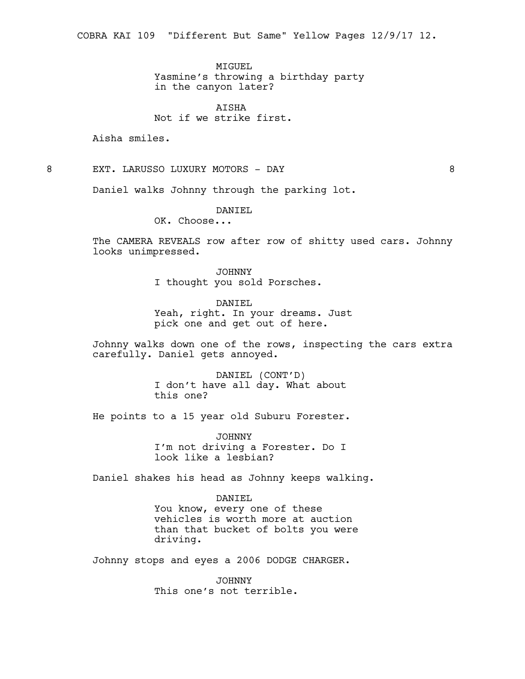MTGUEL.

Yasmine's throwing a birthday party in the canyon later?

AISHA Not if we strike first.

Aisha smiles.

8 EXT. LARUSSO LUXURY MOTORS - DAY 8

Daniel walks Johnny through the parking lot.

DANIEL

OK. Choose...

The CAMERA REVEALS row after row of shitty used cars. Johnny looks unimpressed.

> JOHNNY I thought you sold Porsches.

DANIEL Yeah, right. In your dreams. Just pick one and get out of here.

Johnny walks down one of the rows, inspecting the cars extra carefully. Daniel gets annoyed.

> DANIEL (CONT'D) I don't have all day. What about this one?

He points to a 15 year old Suburu Forester.

JOHNNY I'm not driving a Forester. Do I look like a lesbian?

Daniel shakes his head as Johnny keeps walking.

DANIEL You know, every one of these vehicles is worth more at auction than that bucket of bolts you were driving.

Johnny stops and eyes a 2006 DODGE CHARGER.

JOHNNY This one's not terrible.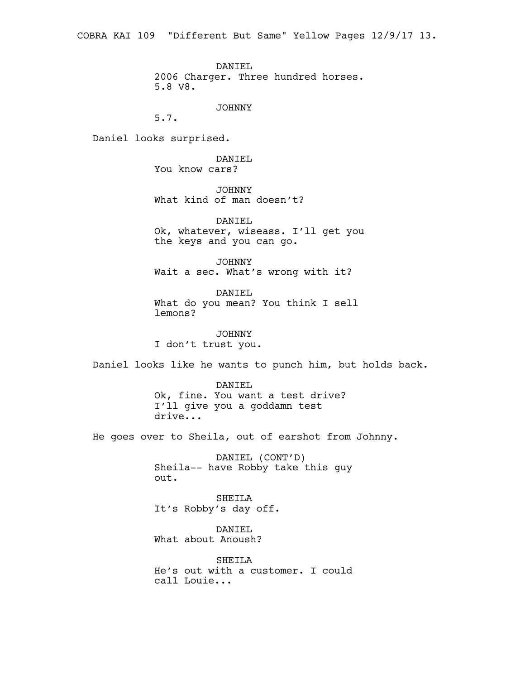COBRA KAI 109 "Different But Same" Yellow Pages 12/9/17 13.

DANIEL

2006 Charger. Three hundred horses. 5.8 V8.

JOHNNY

5.7.

Daniel looks surprised.

DANIEL You know cars?

JOHNNY What kind of man doesn't?

DANIEL Ok, whatever, wiseass. I'll get you the keys and you can go.

JOHNNY Wait a sec. What's wrong with it?

DANIEL What do you mean? You think I sell lemons?

JOHNNY I don't trust you.

Daniel looks like he wants to punch him, but holds back.

DANIEL Ok, fine. You want a test drive? I'll give you a goddamn test drive...

He goes over to Sheila, out of earshot from Johnny.

DANIEL (CONT'D) Sheila-- have Robby take this guy out.

SHEILA It's Robby's day off.

DANIEL What about Anoush?

SHEILA He's out with a customer. I could call Louie...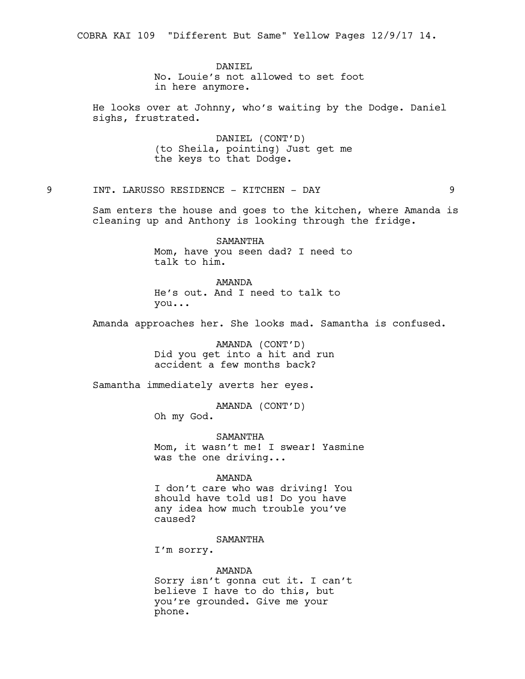COBRA KAI 109 "Different But Same" Yellow Pages 12/9/17 14.

DANIEL

No. Louie's not allowed to set foot in here anymore.

He looks over at Johnny, who's waiting by the Dodge. Daniel sighs, frustrated.

> DANIEL (CONT'D) (to Sheila, pointing) Just get me the keys to that Dodge.

9 INT. LARUSSO RESIDENCE - KITCHEN - DAY 9

Sam enters the house and goes to the kitchen, where Amanda is cleaning up and Anthony is looking through the fridge.

> SAMANTHA Mom, have you seen dad? I need to talk to him.

AMANDA He's out. And I need to talk to you...

Amanda approaches her. She looks mad. Samantha is confused.

AMANDA (CONT'D) Did you get into a hit and run accident a few months back?

Samantha immediately averts her eyes.

AMANDA (CONT'D)

Oh my God.

SAMANTHA Mom, it wasn't me! I swear! Yasmine was the one driving...

AMANDA

I don't care who was driving! You should have told us! Do you have any idea how much trouble you've caused?

SAMANTHA

I'm sorry.

AMANDA

Sorry isn't gonna cut it. I can't believe I have to do this, but you're grounded. Give me your phone.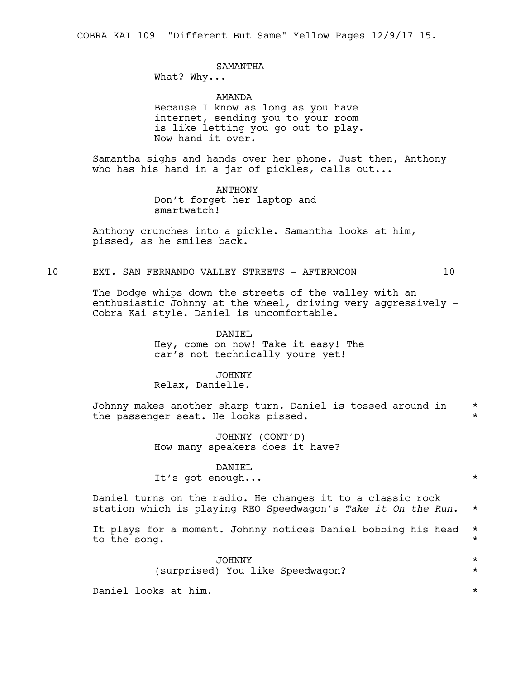COBRA KAI 109 "Different But Same" Yellow Pages 12/9/17 15.

## SAMANTHA

What? Why...

#### AMANDA

Because I know as long as you have internet, sending you to your room is like letting you go out to play. Now hand it over.

Samantha sighs and hands over her phone. Just then, Anthony who has his hand in a jar of pickles, calls out...

> ANTHONY Don't forget her laptop and smartwatch!

Anthony crunches into a pickle. Samantha looks at him, pissed, as he smiles back.

#### 10 EXT. SAN FERNANDO VALLEY STREETS - AFTERNOON 10

The Dodge whips down the streets of the valley with an enthusiastic Johnny at the wheel, driving very aggressively - Cobra Kai style. Daniel is uncomfortable.

> DANIEL Hey, come on now! Take it easy! The car's not technically yours yet!

## JOHNNY

Relax, Danielle.

Johnny makes another sharp turn. Daniel is tossed around in \* the passenger seat. He looks pissed.  $*$ 

> JOHNNY (CONT'D) How many speakers does it have?

#### DANIEL

It's got enough... \*

Daniel turns on the radio. He changes it to a classic rock station which is playing REO Speedwagon's *Take it On the Run*. \*

It plays for a moment. Johnny notices Daniel bobbing his head \* to the song.  $\star$ 

> JOHNNY \* (surprised) You like Speedwagon? \*

Daniel looks at him. \*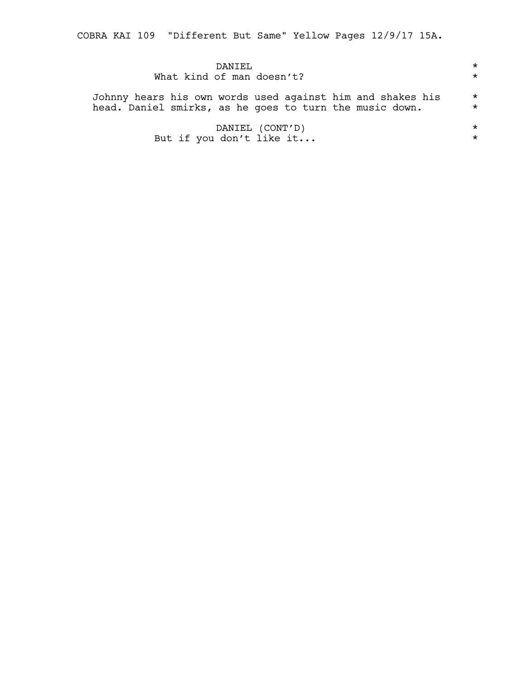COBRA KAI 109 "Different But Same" Yellow Pages 12/9/17 15A.

| DANTEL.                                                    | $\star$ |
|------------------------------------------------------------|---------|
| What kind of man doesn't?                                  | $\star$ |
| Johnny hears his own words used against him and shakes his | $\star$ |
| head. Daniel smirks, as he goes to turn the music down.    | $\star$ |
| DANIEL (CONT'D)                                            | $\star$ |
| But if you don't like it                                   | $\star$ |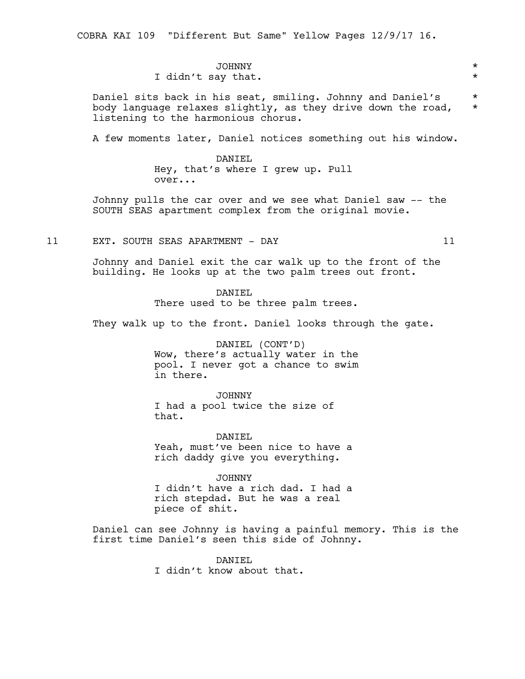COBRA KAI 109 "Different But Same" Yellow Pages 12/9/17 16.

## JOHNNY \* I didn't say that.  $\star$

Daniel sits back in his seat, smiling. Johnny and Daniel's \* body language relaxes slightly, as they drive down the road, \* listening to the harmonious chorus.

A few moments later, Daniel notices something out his window.

DANIEL Hey, that's where I grew up. Pull over...

Johnny pulls the car over and we see what Daniel saw -- the SOUTH SEAS apartment complex from the original movie.

11 EXT. SOUTH SEAS APARTMENT - DAY 11

Johnny and Daniel exit the car walk up to the front of the building. He looks up at the two palm trees out front.

DANTEL.

There used to be three palm trees.

They walk up to the front. Daniel looks through the gate.

DANIEL (CONT'D) Wow, there's actually water in the pool. I never got a chance to swim in there.

JOHNNY I had a pool twice the size of that.

DANTEL. Yeah, must've been nice to have a rich daddy give you everything.

JOHNNY I didn't have a rich dad. I had a rich stepdad. But he was a real piece of shit.

Daniel can see Johnny is having a painful memory. This is the first time Daniel's seen this side of Johnny.

> DANIEL I didn't know about that.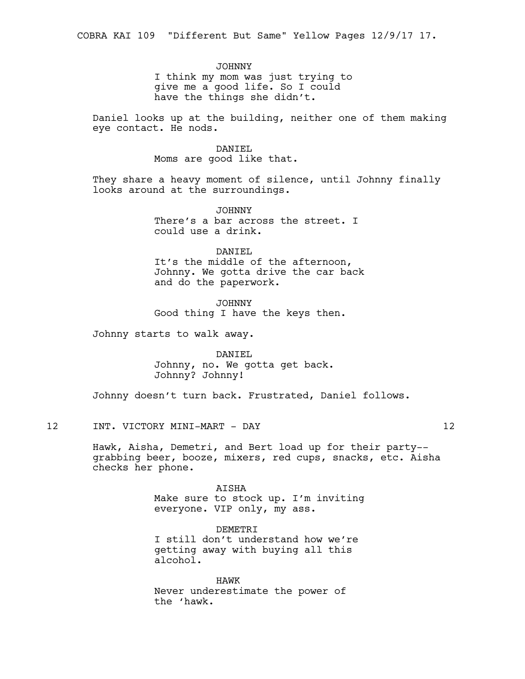## JOHNNY

I think my mom was just trying to give me a good life. So I could have the things she didn't.

Daniel looks up at the building, neither one of them making eye contact. He nods.

#### DANTEL

Moms are good like that.

They share a heavy moment of silence, until Johnny finally looks around at the surroundings.

> JOHNNY There's a bar across the street. I could use a drink.

#### DANIEL

It's the middle of the afternoon, Johnny. We gotta drive the car back and do the paperwork.

JOHNNY Good thing I have the keys then.

Johnny starts to walk away.

DANIEL Johnny, no. We gotta get back. Johnny? Johnny!

Johnny doesn't turn back. Frustrated, Daniel follows.

12 INT. VICTORY MINI-MART - DAY 12

Hawk, Aisha, Demetri, and Bert load up for their party- grabbing beer, booze, mixers, red cups, snacks, etc. Aisha checks her phone.

> AISHA Make sure to stock up. I'm inviting everyone. VIP only, my ass.

DEMETRI I still don't understand how we're getting away with buying all this alcohol.

HAWK Never underestimate the power of the 'hawk.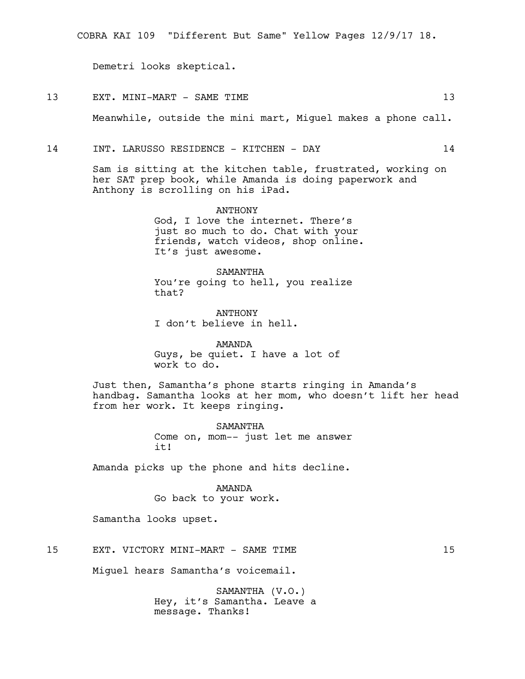Demetri looks skeptical.

#### 13 EXT. MINI-MART - SAME TIME 13 13

Meanwhile, outside the mini mart, Miguel makes a phone call.

#### 14 INT. LARUSSO RESIDENCE - KITCHEN - DAY 14

Sam is sitting at the kitchen table, frustrated, working on her SAT prep book, while Amanda is doing paperwork and Anthony is scrolling on his iPad.

> ANTHONY God, I love the internet. There's just so much to do. Chat with your friends, watch videos, shop online. It's just awesome.

SAMANTHA You're going to hell, you realize that?

ANTHONY I don't believe in hell.

AMANDA Guys, be quiet. I have a lot of work to do.

Just then, Samantha's phone starts ringing in Amanda's handbag. Samantha looks at her mom, who doesn't lift her head from her work. It keeps ringing.

> SAMANTHA Come on, mom-- just let me answer it!

Amanda picks up the phone and hits decline.

#### AMANDA

Go back to your work.

Samantha looks upset.

15 EXT. VICTORY MINI-MART - SAME TIME 15

Miguel hears Samantha's voicemail.

SAMANTHA (V.O.) Hey, it's Samantha. Leave a message. Thanks!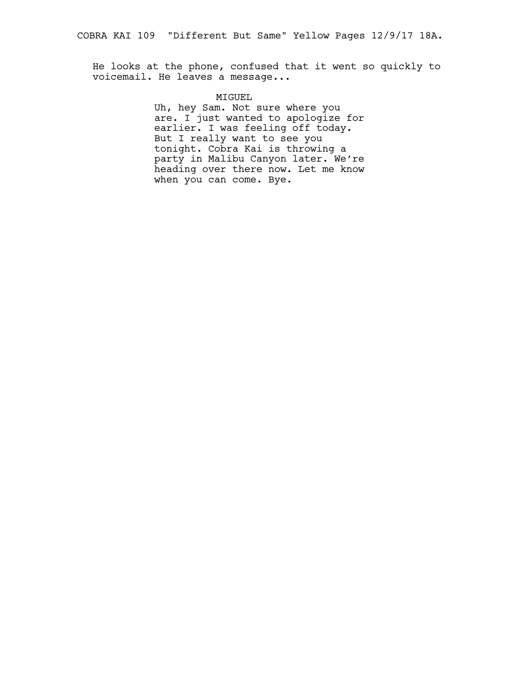He looks at the phone, confused that it went so quickly to voicemail. He leaves a message...

#### MIGUEL

Uh, hey Sam. Not sure where you are. I just wanted to apologize for earlier. I was feeling off today. But I really want to see you tonight. Cobra Kai is throwing a party in Malibu Canyon later. We're heading over there now. Let me know when you can come. Bye.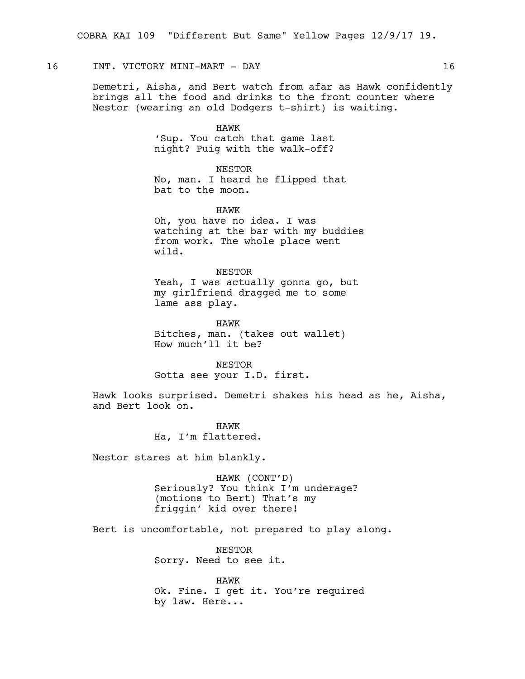## 16 INT. VICTORY MINI-MART - DAY 16

Demetri, Aisha, and Bert watch from afar as Hawk confidently brings all the food and drinks to the front counter where Nestor (wearing an old Dodgers t-shirt) is waiting.

HAWK

'Sup. You catch that game last night? Puig with the walk-off?

NESTOR

No, man. I heard he flipped that bat to the moon.

HAWK

Oh, you have no idea. I was watching at the bar with my buddies from work. The whole place went wild.

NESTOR Yeah, I was actually gonna go, but my girlfriend dragged me to some lame ass play.

HAWK Bitches, man. (takes out wallet) How much'll it be?

NESTOR Gotta see your I.D. first.

Hawk looks surprised. Demetri shakes his head as he, Aisha, and Bert look on.

> HAWK Ha, I'm flattered.

Nestor stares at him blankly.

HAWK (CONT'D) Seriously? You think I'm underage? (motions to Bert) That's my friggin' kid over there!

Bert is uncomfortable, not prepared to play along.

NESTOR Sorry. Need to see it.

HAWK Ok. Fine. I get it. You're required by law. Here...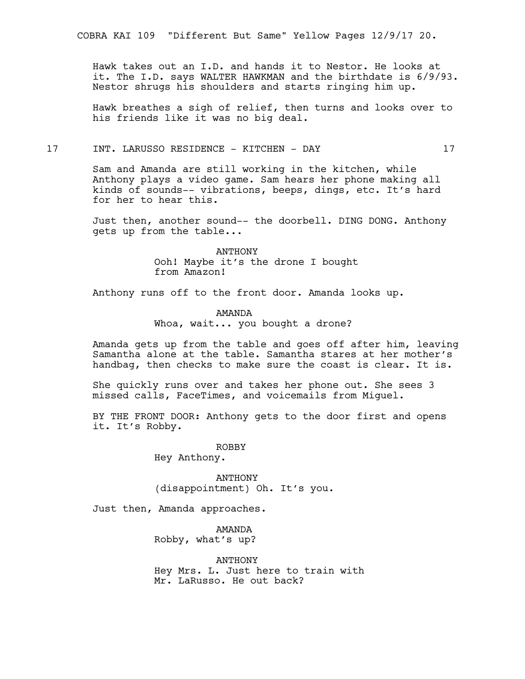COBRA KAI 109 "Different But Same" Yellow Pages 12/9/17 20.

Hawk takes out an I.D. and hands it to Nestor. He looks at it. The I.D. says WALTER HAWKMAN and the birthdate is 6/9/93. Nestor shrugs his shoulders and starts ringing him up.

Hawk breathes a sigh of relief, then turns and looks over to his friends like it was no big deal.

#### 17 INT. LARUSSO RESIDENCE - KITCHEN - DAY 17

Sam and Amanda are still working in the kitchen, while Anthony plays a video game. Sam hears her phone making all kinds of sounds-- vibrations, beeps, dings, etc. It's hard for her to hear this.

Just then, another sound-- the doorbell. DING DONG. Anthony gets up from the table...

> ANTHONY Ooh! Maybe it's the drone I bought from Amazon!

Anthony runs off to the front door. Amanda looks up.

AMANDA Whoa, wait... you bought a drone?

Amanda gets up from the table and goes off after him, leaving Samantha alone at the table. Samantha stares at her mother's handbag, then checks to make sure the coast is clear. It is.

She quickly runs over and takes her phone out. She sees 3 missed calls, FaceTimes, and voicemails from Miguel.

BY THE FRONT DOOR: Anthony gets to the door first and opens it. It's Robby.

> ROBBY Hey Anthony.

ANTHONY (disappointment) Oh. It's you.

Just then, Amanda approaches.

AMANDA Robby, what's up?

ANTHONY Hey Mrs. L. Just here to train with Mr. LaRusso. He out back?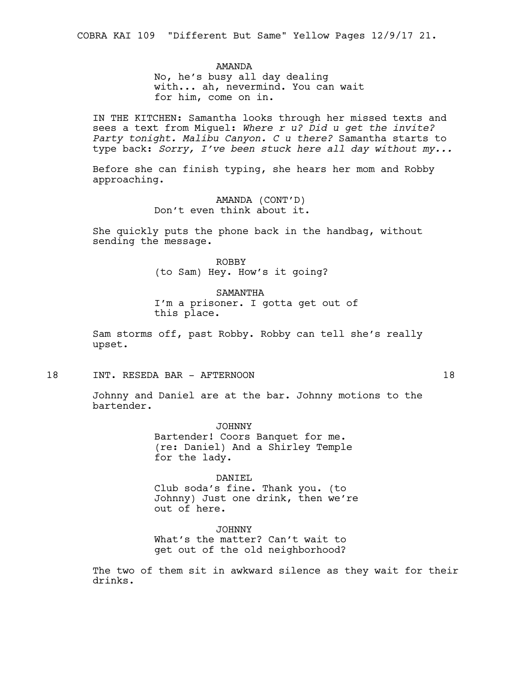COBRA KAI 109 "Different But Same" Yellow Pages 12/9/17 21.

AMANDA

No, he's busy all day dealing with... ah, nevermind. You can wait for him, come on in.

IN THE KITCHEN: Samantha looks through her missed texts and sees a text from Miguel: *Where r u? Did u get the invite? Party tonight. Malibu Canyon. C u there?* Samantha starts to type back: *Sorry, I've been stuck here all day without my...*

Before she can finish typing, she hears her mom and Robby approaching.

> AMANDA (CONT'D) Don't even think about it.

She quickly puts the phone back in the handbag, without sending the message.

> ROBBY (to Sam) Hey. How's it going?

SAMANTHA I'm a prisoner. I gotta get out of this place.

Sam storms off, past Robby. Robby can tell she's really upset.

18 INT. RESEDA BAR - AFTERNOON 18

Johnny and Daniel are at the bar. Johnny motions to the bartender.

> JOHNNY Bartender! Coors Banquet for me. (re: Daniel) And a Shirley Temple for the lady.

DANIEL Club soda's fine. Thank you. (to Johnny) Just one drink, then we're out of here.

JOHNNY What's the matter? Can't wait to get out of the old neighborhood?

The two of them sit in awkward silence as they wait for their drinks.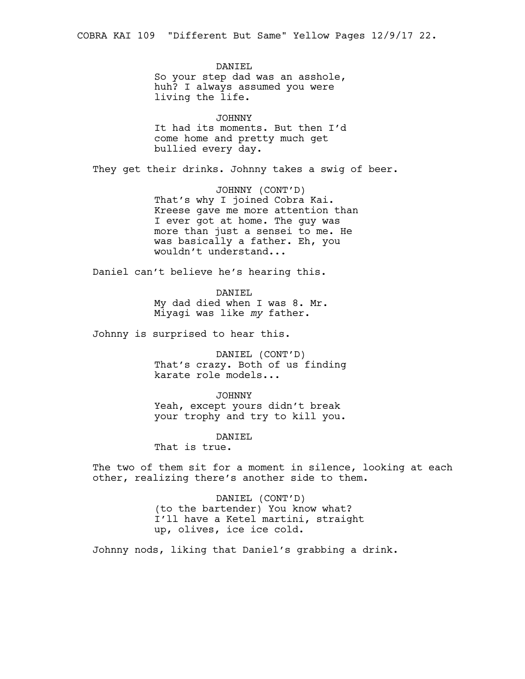DANIEL So your step dad was an asshole, huh? I always assumed you were living the life.

JOHNNY It had its moments. But then I'd come home and pretty much get bullied every day.

They get their drinks. Johnny takes a swig of beer.

JOHNNY (CONT'D) That's why I joined Cobra Kai. Kreese gave me more attention than I ever got at home. The guy was more than just a sensei to me. He was basically a father. Eh, you wouldn't understand...

Daniel can't believe he's hearing this.

DANIEL My dad died when I was 8. Mr. Miyagi was like *my* father.

Johnny is surprised to hear this.

DANIEL (CONT'D) That's crazy. Both of us finding karate role models...

JOHNNY

Yeah, except yours didn't break your trophy and try to kill you.

DANIEL

That is true.

The two of them sit for a moment in silence, looking at each other, realizing there's another side to them.

> DANIEL (CONT'D) (to the bartender) You know what? I'll have a Ketel martini, straight up, olives, ice ice cold.

Johnny nods, liking that Daniel's grabbing a drink.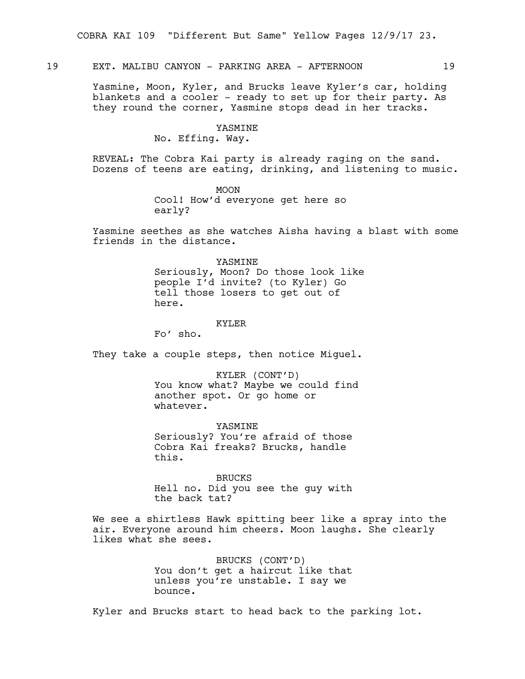19 EXT. MALIBU CANYON - PARKING AREA - AFTERNOON 19

Yasmine, Moon, Kyler, and Brucks leave Kyler's car, holding blankets and a cooler - ready to set up for their party. As they round the corner, Yasmine stops dead in her tracks.

## YASMINE

No. Effing. Way.

REVEAL: The Cobra Kai party is already raging on the sand. Dozens of teens are eating, drinking, and listening to music.

> MOON Cool! How'd everyone get here so early?

Yasmine seethes as she watches Aisha having a blast with some friends in the distance.

> YASMINE Seriously, Moon? Do those look like people I'd invite? (to Kyler) Go tell those losers to get out of here.

#### KYLER

Fo' sho.

They take a couple steps, then notice Miquel.

KYLER (CONT'D) You know what? Maybe we could find another spot. Or go home or whatever.

YASMINE Seriously? You're afraid of those Cobra Kai freaks? Brucks, handle this.

BRUCKS Hell no. Did you see the guy with the back tat?

We see a shirtless Hawk spitting beer like a spray into the air. Everyone around him cheers. Moon laughs. She clearly likes what she sees.

> BRUCKS (CONT'D) You don't get a haircut like that unless you're unstable. I say we bounce.

Kyler and Brucks start to head back to the parking lot.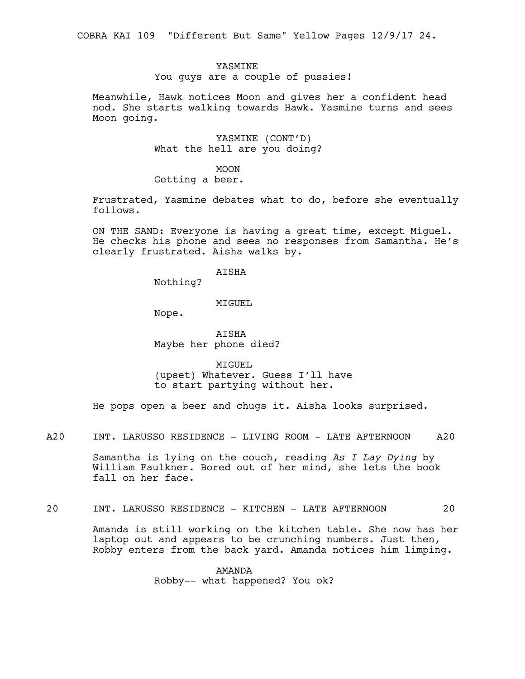COBRA KAI 109 "Different But Same" Yellow Pages 12/9/17 24.

#### **YASMINE**

You guys are a couple of pussies!

Meanwhile, Hawk notices Moon and gives her a confident head nod. She starts walking towards Hawk. Yasmine turns and sees Moon going.

> YASMINE (CONT'D) What the hell are you doing?

MOON Getting a beer.

Frustrated, Yasmine debates what to do, before she eventually follows.

ON THE SAND: Everyone is having a great time, except Miguel. He checks his phone and sees no responses from Samantha. He's clearly frustrated. Aisha walks by.

## AISHA

Nothing?

#### MIGUEL

Nope.

AISHA Maybe her phone died?

MIGUEL (upset) Whatever. Guess I'll have to start partying without her.

He pops open a beer and chugs it. Aisha looks surprised.

A20 INT. LARUSSO RESIDENCE - LIVING ROOM - LATE AFTERNOON A20

Samantha is lying on the couch, reading *As I Lay Dying* by William Faulkner. Bored out of her mind, she lets the book fall on her face.

## 20 INT. LARUSSO RESIDENCE - KITCHEN - LATE AFTERNOON 20

Amanda is still working on the kitchen table. She now has her laptop out and appears to be crunching numbers. Just then, Robby enters from the back yard. Amanda notices him limping.

> AMANDA Robby-- what happened? You ok?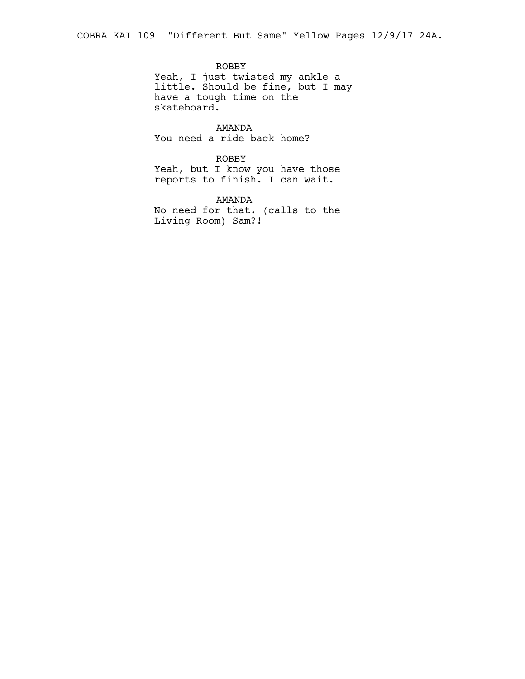ROBBY Yeah, I just twisted my ankle a little. Should be fine, but I may have a tough time on the skateboard.

AMANDA You need a ride back home?

ROBBY Yeah, but I know you have those reports to finish. I can wait.

AMANDA No need for that. (calls to the Living Room) Sam?!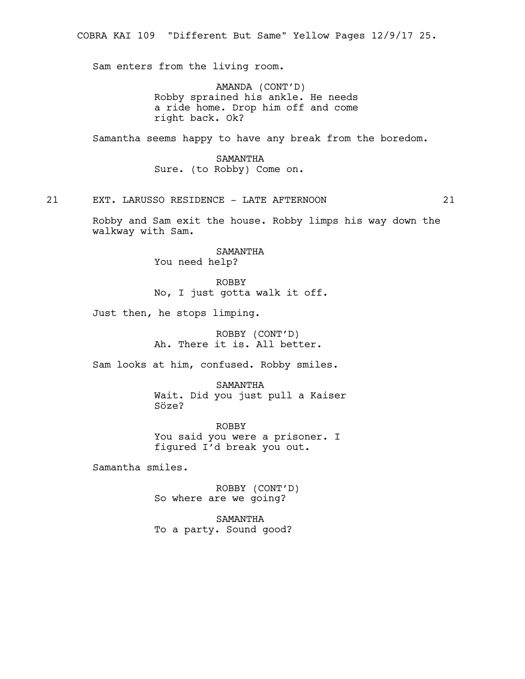Sam enters from the living room.

AMANDA (CONT'D) Robby sprained his ankle. He needs a ride home. Drop him off and come right back. Ok?

Samantha seems happy to have any break from the boredom.

SAMANTHA Sure. (to Robby) Come on.

21 EXT. LARUSSO RESIDENCE - LATE AFTERNOON 21

Robby and Sam exit the house. Robby limps his way down the walkway with Sam.

> SAMANTHA You need help?

ROBBY No, I just gotta walk it off.

Just then, he stops limping.

ROBBY (CONT'D) Ah. There it is. All better.

Sam looks at him, confused. Robby smiles.

SAMANTHA Wait. Did you just pull a Kaiser Söze?

ROBBY You said you were a prisoner. I figured I'd break you out.

Samantha smiles.

ROBBY (CONT'D) So where are we going?

SAMANTHA To a party. Sound good?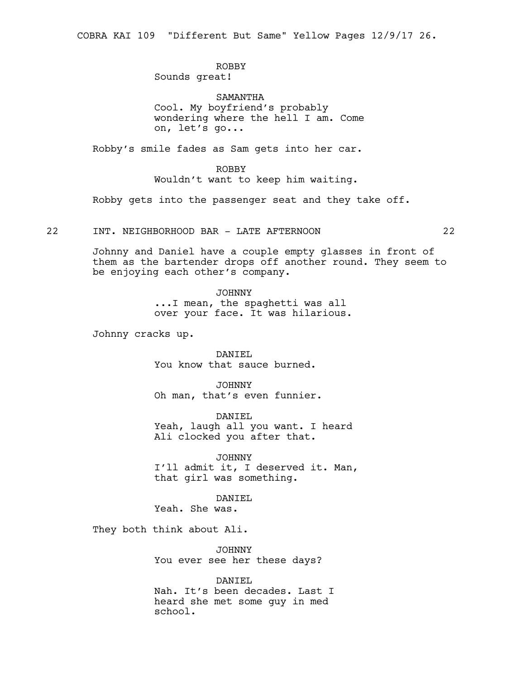COBRA KAI 109 "Different But Same" Yellow Pages 12/9/17 26.

# ROBBY

Sounds great!

SAMANTHA Cool. My boyfriend's probably wondering where the hell I am. Come on, let's go...

Robby's smile fades as Sam gets into her car.

## ROBBY Wouldn't want to keep him waiting.

Robby gets into the passenger seat and they take off.

22 INT. NEIGHBORHOOD BAR - LATE AFTERNOON 22

Johnny and Daniel have a couple empty glasses in front of them as the bartender drops off another round. They seem to be enjoying each other's company.

JOHNNY

...I mean, the spaghetti was all over your face. It was hilarious.

Johnny cracks up.

DANIEL You know that sauce burned.

JOHNNY Oh man, that's even funnier.

DANIEL Yeah, laugh all you want. I heard Ali clocked you after that.

JOHNNY I'll admit it, I deserved it. Man, that girl was something.

DANTEL

Yeah. She was.

They both think about Ali.

JOHNNY You ever see her these days?

DANIEL Nah. It's been decades. Last I heard she met some guy in med school.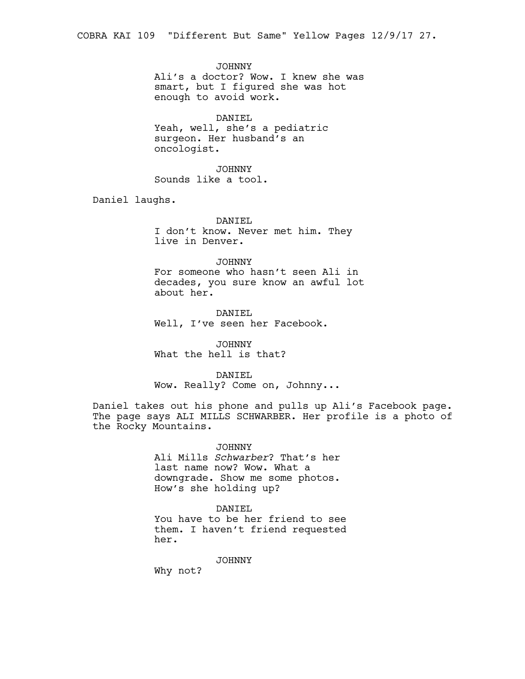JOHNNY Ali's a doctor? Wow. I knew she was smart, but I figured she was hot enough to avoid work.

DANIEL Yeah, well, she's a pediatric surgeon. Her husband's an oncologist.

JOHNNY Sounds like a tool.

Daniel laughs.

DANIEL I don't know. Never met him. They live in Denver.

#### JOHNNY

For someone who hasn't seen Ali in decades, you sure know an awful lot about her.

DANIEL Well, I've seen her Facebook.

JOHNNY What the hell is that?

#### DANIEL

Wow. Really? Come on, Johnny...

Daniel takes out his phone and pulls up Ali's Facebook page. The page says ALI MILLS SCHWARBER. Her profile is a photo of the Rocky Mountains.

> JOHNNY Ali Mills *Schwarber*? That's her last name now? Wow. What a downgrade. Show me some photos. How's she holding up?

#### DANIEL

You have to be her friend to see them. I haven't friend requested her.

JOHNNY

Why not?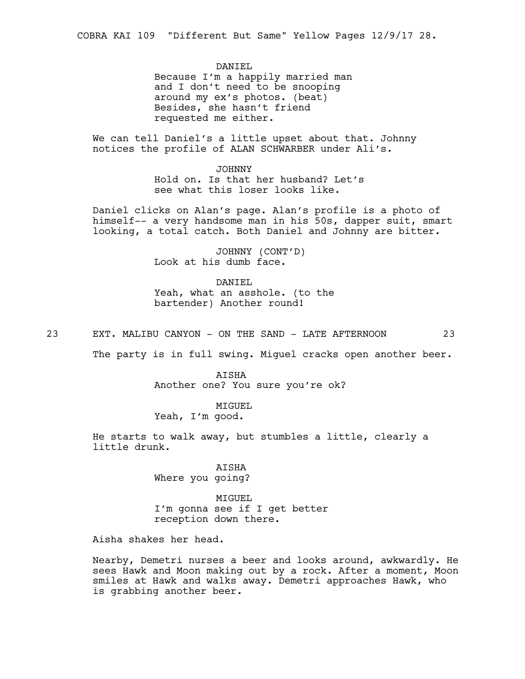DANTEL Because I'm a happily married man and I don't need to be snooping around my ex's photos. (beat) Besides, she hasn't friend requested me either.

We can tell Daniel's a little upset about that. Johnny notices the profile of ALAN SCHWARBER under Ali's.

> JOHNNY Hold on. Is that her husband? Let's see what this loser looks like.

Daniel clicks on Alan's page. Alan's profile is a photo of himself-- a very handsome man in his 50s, dapper suit, smart looking, a total catch. Both Daniel and Johnny are bitter.

> JOHNNY (CONT'D) Look at his dumb face.

DANIEL Yeah, what an asshole. (to the bartender) Another round!

23 EXT. MALIBU CANYON - ON THE SAND - LATE AFTERNOON 23

The party is in full swing. Miquel cracks open another beer.

AISHA Another one? You sure you're ok?

MIGUEL

Yeah, I'm good.

He starts to walk away, but stumbles a little, clearly a little drunk.

> AISHA Where you going?

MIGUEL I'm gonna see if I get better reception down there.

Aisha shakes her head.

Nearby, Demetri nurses a beer and looks around, awkwardly. He sees Hawk and Moon making out by a rock. After a moment, Moon smiles at Hawk and walks away. Demetri approaches Hawk, who is grabbing another beer.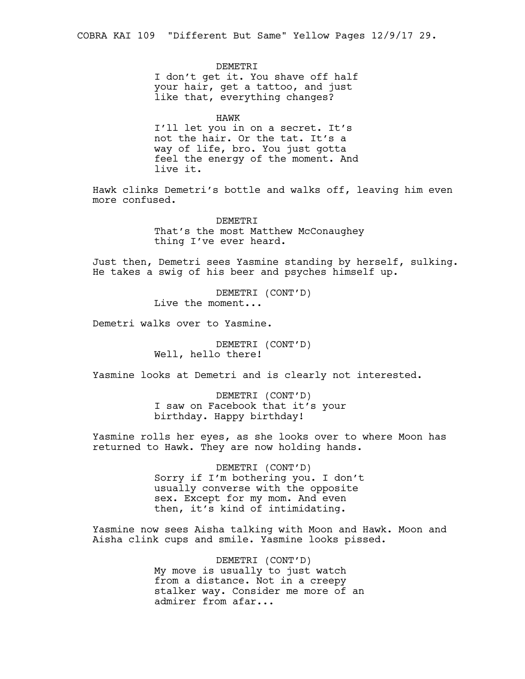DEMETRI I don't get it. You shave off half your hair, get a tattoo, and just like that, everything changes?

HAWK I'll let you in on a secret. It's not the hair. Or the tat. It's a way of life, bro. You just gotta feel the energy of the moment. And live it.

Hawk clinks Demetri's bottle and walks off, leaving him even more confused.

> **DEMETRI** That's the most Matthew McConaughey thing I've ever heard.

Just then, Demetri sees Yasmine standing by herself, sulking. He takes a swig of his beer and psyches himself up.

> DEMETRI (CONT'D) Live the moment...

Demetri walks over to Yasmine.

DEMETRI (CONT'D) Well, hello there!

Yasmine looks at Demetri and is clearly not interested.

DEMETRI (CONT'D) I saw on Facebook that it's your birthday. Happy birthday!

Yasmine rolls her eyes, as she looks over to where Moon has returned to Hawk. They are now holding hands.

> DEMETRI (CONT'D) Sorry if I'm bothering you. I don't usually converse with the opposite sex. Except for my mom. And even then, it's kind of intimidating.

Yasmine now sees Aisha talking with Moon and Hawk. Moon and Aisha clink cups and smile. Yasmine looks pissed.

> DEMETRI (CONT'D) My move is usually to just watch from a distance. Not in a creepy stalker way. Consider me more of an admirer from afar...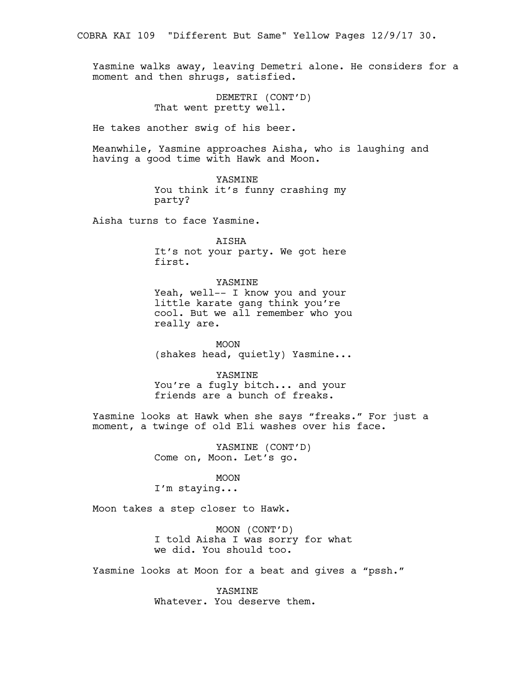Yasmine walks away, leaving Demetri alone. He considers for a moment and then shrugs, satisfied.

> DEMETRI (CONT'D) That went pretty well.

He takes another swig of his beer.

Meanwhile, Yasmine approaches Aisha, who is laughing and having a good time with Hawk and Moon.

> YASMINE You think it's funny crashing my party?

Aisha turns to face Yasmine.

AISHA It's not your party. We got here first.

YASMINE Yeah, well-- I know you and your little karate gang think you're cool. But we all remember who you really are.

MOON (shakes head, quietly) Yasmine...

YASMINE You're a fugly bitch... and your friends are a bunch of freaks.

Yasmine looks at Hawk when she says "freaks." For just a moment, a twinge of old Eli washes over his face.

> YASMINE (CONT'D) Come on, Moon. Let's go.

> > MOON

I'm staying...

Moon takes a step closer to Hawk.

MOON (CONT'D) I told Aisha I was sorry for what we did. You should too.

Yasmine looks at Moon for a beat and gives a "pssh."

**YASMINE** Whatever. You deserve them.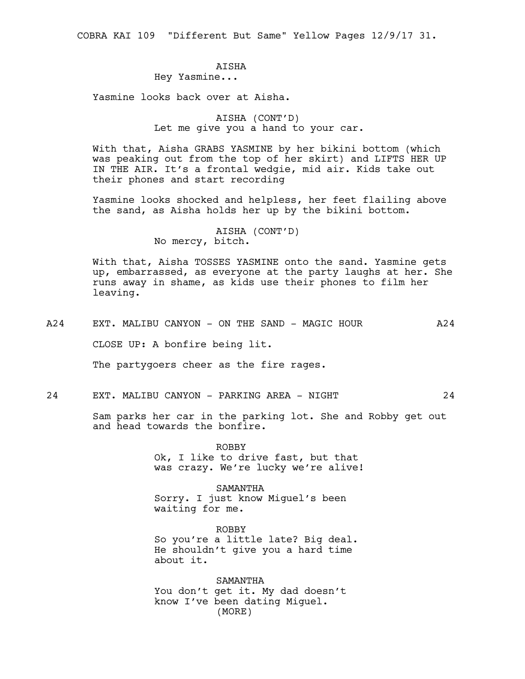COBRA KAI 109 "Different But Same" Yellow Pages 12/9/17 31.

## **ATSHA**

Hey Yasmine...

Yasmine looks back over at Aisha.

AISHA (CONT'D) Let me give you a hand to your car.

With that, Aisha GRABS YASMINE by her bikini bottom (which was peaking out from the top of her skirt) and LIFTS HER UP IN THE AIR. It's a frontal wedgie, mid air. Kids take out their phones and start recording

Yasmine looks shocked and helpless, her feet flailing above the sand, as Aisha holds her up by the bikini bottom.

> AISHA (CONT'D) No mercy, bitch.

With that, Aisha TOSSES YASMINE onto the sand. Yasmine gets up, embarrassed, as everyone at the party laughs at her. She runs away in shame, as kids use their phones to film her leaving.

A24 EXT. MALIBU CANYON - ON THE SAND - MAGIC HOUR A24

CLOSE UP: A bonfire being lit.

The partygoers cheer as the fire rages.

## 24 EXT. MALIBU CANYON - PARKING AREA - NIGHT 24

Sam parks her car in the parking lot. She and Robby get out and head towards the bonfire.

> ROBBY Ok, I like to drive fast, but that was crazy. We're lucky we're alive!

SAMANTHA Sorry. I just know Miguel's been waiting for me.

ROBBY So you're a little late? Big deal. He shouldn't give you a hard time about it.

SAMANTHA You don't get it. My dad doesn't know I've been dating Miguel. (MORE)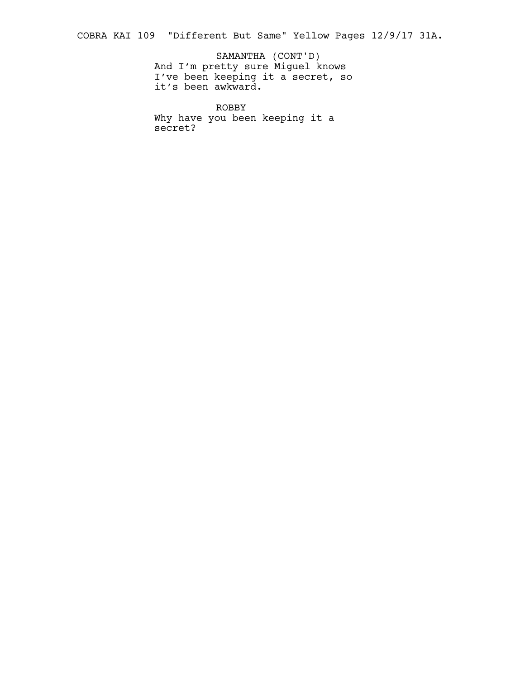COBRA KAI 109 "Different But Same" Yellow Pages 12/9/17 31A.

And I'm pretty sure Miguel knows I've been keeping it a secret, so it's been awkward. SAMANTHA (CONT'D)

ROBBY Why have you been keeping it a secret?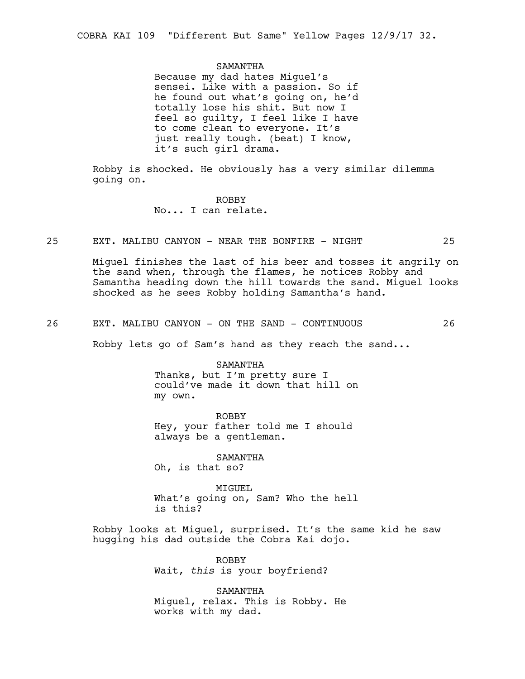#### SAMANTHA

Because my dad hates Miguel's sensei. Like with a passion. So if he found out what's going on, he'd totally lose his shit. But now I feel so guilty, I feel like I have to come clean to everyone. It's just really tough. (beat) I know, it's such girl drama.

Robby is shocked. He obviously has a very similar dilemma going on.

## ROBBY No... I can relate.

25 EXT. MALIBU CANYON - NEAR THE BONFIRE - NIGHT 25

Miguel finishes the last of his beer and tosses it angrily on the sand when, through the flames, he notices Robby and Samantha heading down the hill towards the sand. Miguel looks shocked as he sees Robby holding Samantha's hand.

26 EXT. MALIBU CANYON - ON THE SAND - CONTINUOUS 26

Robby lets go of Sam's hand as they reach the sand...

SAMANTHA Thanks, but I'm pretty sure I could've made it down that hill on my own.

ROBBY Hey, your father told me I should always be a gentleman.

SAMANTHA Oh, is that so?

MIGUEL What's going on, Sam? Who the hell is this?

Robby looks at Miguel, surprised. It's the same kid he saw hugging his dad outside the Cobra Kai dojo.

> ROBBY Wait, *this* is your boyfriend?

SAMANTHA Miguel, relax. This is Robby. He works with my dad.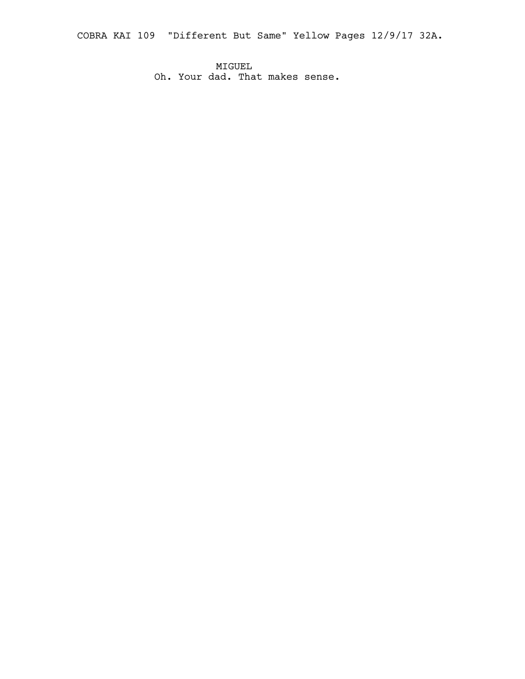COBRA KAI 109 "Different But Same" Yellow Pages 12/9/17 32A.

MIGUEL Oh. Your dad. That makes sense.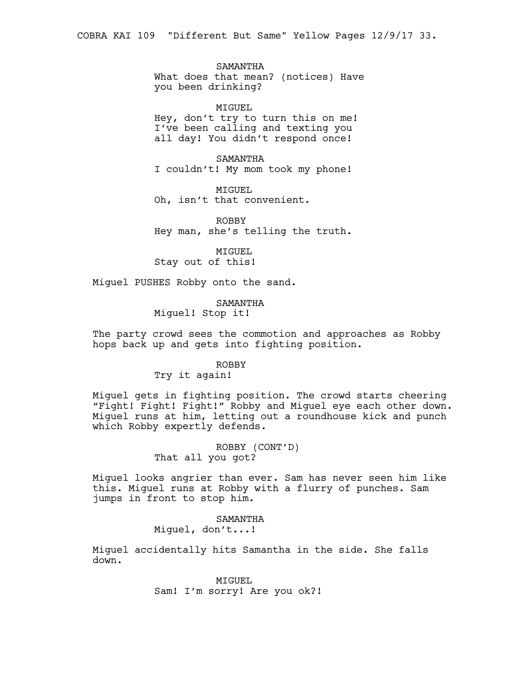SAMANTHA What does that mean? (notices) Have you been drinking?

MIGUEL Hey, don't try to turn this on me! I've been calling and texting you all day! You didn't respond once!

SAMANTHA I couldn't! My mom took my phone!

MIGUEL Oh, isn't that convenient.

ROBBY Hey man, she's telling the truth.

MIGUEL Stay out of this!

Miguel PUSHES Robby onto the sand.

SAMANTHA Miguel! Stop it!

The party crowd sees the commotion and approaches as Robby hops back up and gets into fighting position.

#### ROBBY

Try it again!

Miguel gets in fighting position. The crowd starts cheering "Fight! Fight! Fight!" Robby and Miguel eye each other down. Miguel runs at him, letting out a roundhouse kick and punch which Robby expertly defends.

> ROBBY (CONT'D) That all you got?

Miguel looks angrier than ever. Sam has never seen him like this. Miguel runs at Robby with a flurry of punches. Sam jumps in front to stop him.

## SAMANTHA

Miguel, don't...!

Miguel accidentally hits Samantha in the side. She falls down.

> MIGUEL Sam! I'm sorry! Are you ok?!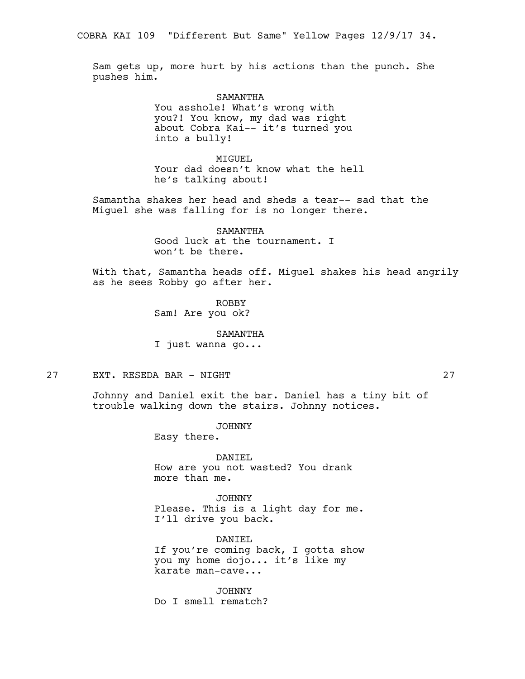Sam gets up, more hurt by his actions than the punch. She pushes him.

> SAMANTHA You asshole! What's wrong with you?! You know, my dad was right about Cobra Kai-- it's turned you into a bully!

MTGUEL. Your dad doesn't know what the hell he's talking about!

Samantha shakes her head and sheds a tear-- sad that the Miguel she was falling for is no longer there.

> SAMANTHA Good luck at the tournament. I won't be there.

With that, Samantha heads off. Miguel shakes his head angrily as he sees Robby go after her.

> ROBBY Sam! Are you ok?

> > SAMANTHA

I just wanna go...

27 EXT. RESEDA BAR - NIGHT 27

Johnny and Daniel exit the bar. Daniel has a tiny bit of trouble walking down the stairs. Johnny notices.

JOHNNY

Easy there.

DANIEL How are you not wasted? You drank more than me.

JOHNNY Please. This is a light day for me. I'll drive you back.

DANIEL If you're coming back, I gotta show you my home dojo... it's like my karate man-cave...

JOHNNY Do I smell rematch?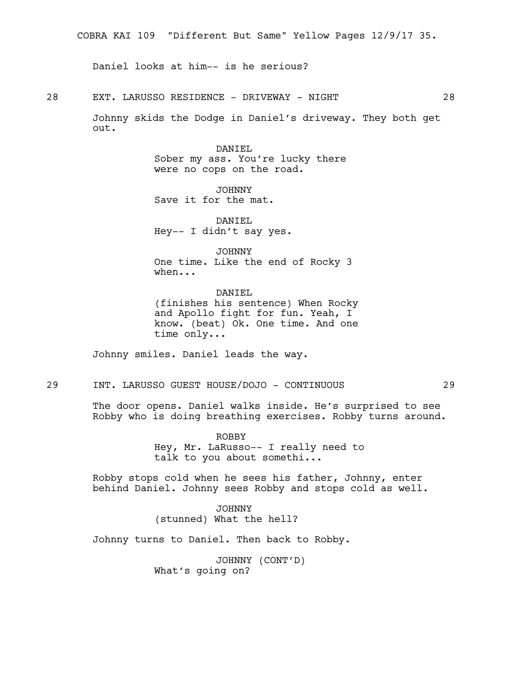Daniel looks at him-- is he serious?

28 EXT. LARUSSO RESIDENCE - DRIVEWAY - NIGHT 28

Johnny skids the Dodge in Daniel's driveway. They both get out.

### DANIEL

Sober my ass. You're lucky there were no cops on the road.

JOHNNY Save it for the mat.

DANIEL Hey-- I didn't say yes.

JOHNNY One time. Like the end of Rocky 3 when...

DANIEL (finishes his sentence) When Rocky and Apollo fight for fun. Yeah, I know. (beat) Ok. One time. And one time only...

Johnny smiles. Daniel leads the way.

29 INT. LARUSSO GUEST HOUSE/DOJO - CONTINUOUS 29

The door opens. Daniel walks inside. He's surprised to see Robby who is doing breathing exercises. Robby turns around.

> ROBBY Hey, Mr. LaRusso-- I really need to talk to you about somethi...

Robby stops cold when he sees his father, Johnny, enter behind Daniel. Johnny sees Robby and stops cold as well.

> JOHNNY (stunned) What the hell?

Johnny turns to Daniel. Then back to Robby.

JOHNNY (CONT'D) What's going on?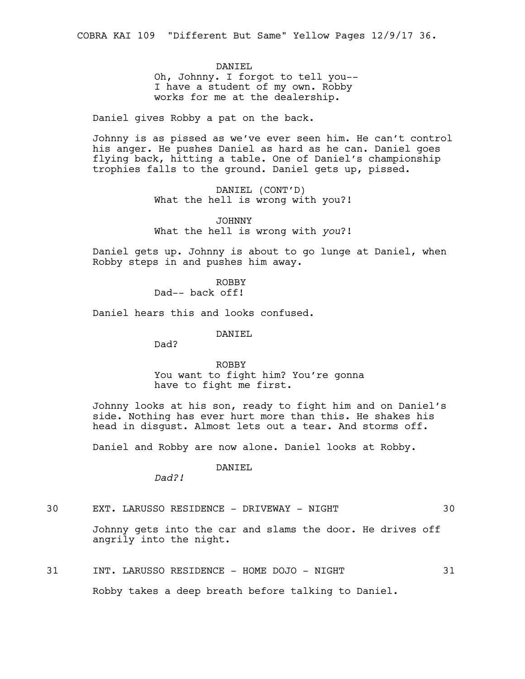DANIEL Oh, Johnny. I forgot to tell you-- I have a student of my own. Robby works for me at the dealership.

Daniel gives Robby a pat on the back.

Johnny is as pissed as we've ever seen him. He can't control his anger. He pushes Daniel as hard as he can. Daniel goes flying back, hitting a table. One of Daniel's championship trophies falls to the ground. Daniel gets up, pissed.

> DANIEL (CONT'D) What the hell is wrong with you?!

> JOHNNY What the hell is wrong with *you*?!

Daniel gets up. Johnny is about to go lunge at Daniel, when Robby steps in and pushes him away.

> ROBBY Dad-- back off!

Daniel hears this and looks confused.

DANIEL

Dad?

ROBBY You want to fight him? You're gonna have to fight me first.

Johnny looks at his son, ready to fight him and on Daniel's side. Nothing has ever hurt more than this. He shakes his head in disgust. Almost lets out a tear. And storms off.

Daniel and Robby are now alone. Daniel looks at Robby.

DANIEL

*Dad?!*

30 EXT. LARUSSO RESIDENCE - DRIVEWAY - NIGHT 30

Johnny gets into the car and slams the door. He drives off angrily into the night.

31 INT. LARUSSO RESIDENCE - HOME DOJO - NIGHT 31

Robby takes a deep breath before talking to Daniel.